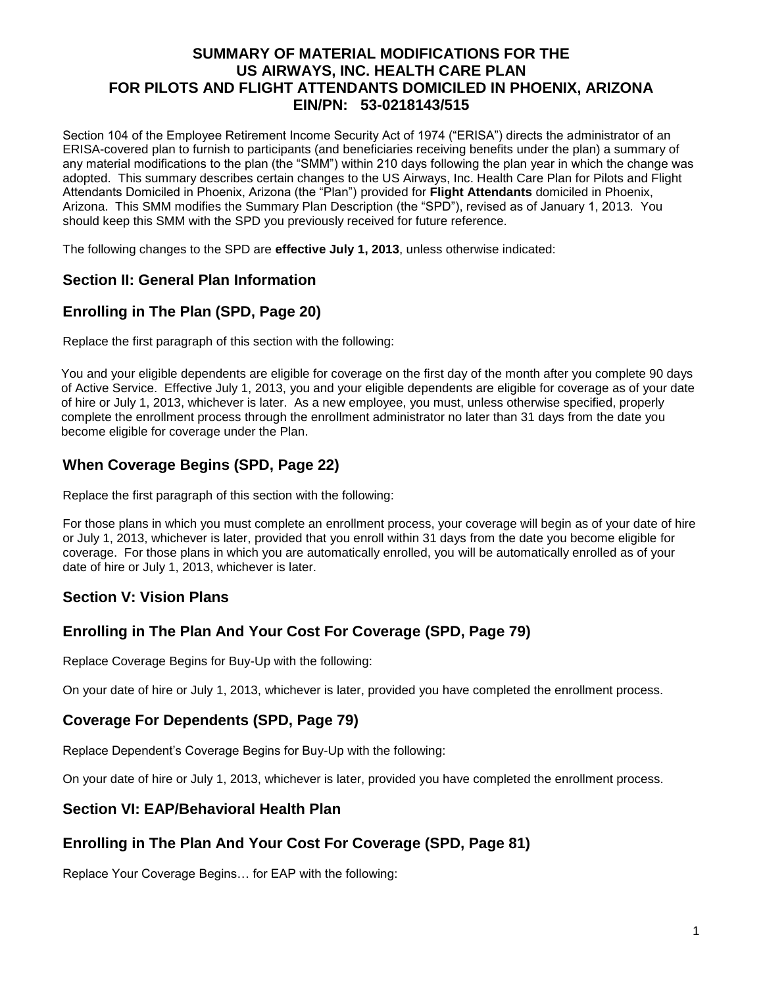### **SUMMARY OF MATERIAL MODIFICATIONS FOR THE US AIRWAYS, INC. HEALTH CARE PLAN FOR PILOTS AND FLIGHT ATTENDANTS DOMICILED IN PHOENIX, ARIZONA EIN/PN: 53-0218143/515**

Section 104 of the Employee Retirement Income Security Act of 1974 ("ERISA") directs the administrator of an ERISA-covered plan to furnish to participants (and beneficiaries receiving benefits under the plan) a summary of any material modifications to the plan (the "SMM") within 210 days following the plan year in which the change was adopted. This summary describes certain changes to the US Airways, Inc. Health Care Plan for Pilots and Flight Attendants Domiciled in Phoenix, Arizona (the "Plan") provided for **Flight Attendants** domiciled in Phoenix, Arizona. This SMM modifies the Summary Plan Description (the "SPD"), revised as of January 1, 2013. You should keep this SMM with the SPD you previously received for future reference.

The following changes to the SPD are **effective July 1, 2013**, unless otherwise indicated:

### **Section II: General Plan Information**

# **Enrolling in The Plan (SPD, Page 20)**

Replace the first paragraph of this section with the following:

You and your eligible dependents are eligible for coverage on the first day of the month after you complete 90 days of Active Service. Effective July 1, 2013, you and your eligible dependents are eligible for coverage as of your date of hire or July 1, 2013, whichever is later. As a new employee, you must, unless otherwise specified, properly complete the enrollment process through the enrollment administrator no later than 31 days from the date you become eligible for coverage under the Plan.

# **When Coverage Begins (SPD, Page 22)**

Replace the first paragraph of this section with the following:

For those plans in which you must complete an enrollment process, your coverage will begin as of your date of hire or July 1, 2013, whichever is later, provided that you enroll within 31 days from the date you become eligible for coverage. For those plans in which you are automatically enrolled, you will be automatically enrolled as of your date of hire or July 1, 2013, whichever is later.

# **Section V: Vision Plans**

# **Enrolling in The Plan And Your Cost For Coverage (SPD, Page 79)**

Replace Coverage Begins for Buy-Up with the following:

On your date of hire or July 1, 2013, whichever is later, provided you have completed the enrollment process.

### **Coverage For Dependents (SPD, Page 79)**

Replace Dependent's Coverage Begins for Buy-Up with the following:

On your date of hire or July 1, 2013, whichever is later, provided you have completed the enrollment process.

### **Section VI: EAP/Behavioral Health Plan**

# **Enrolling in The Plan And Your Cost For Coverage (SPD, Page 81)**

Replace Your Coverage Begins… for EAP with the following: